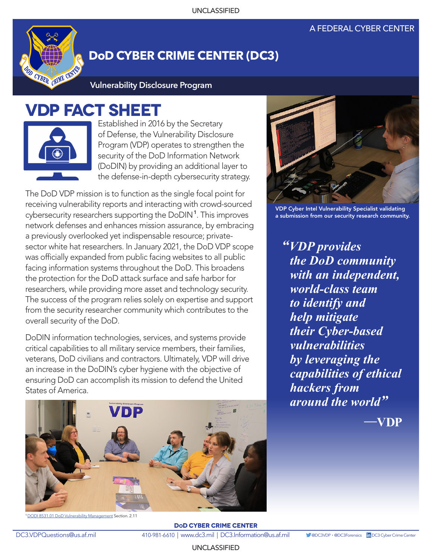## A FEDERAL CYBER CENTER



## **DoD CYBER CRIME CENTER (DC3)**

**Vulnerability Disclosure Program**

## **VDP FACT SHEET**



Established in 2016 by the Secretary of Defense, the Vulnerability Disclosure Program (VDP) operates to strengthen the security of the DoD Information Network (DoDIN) by providing an additional layer to the defense-in-depth cybersecurity strategy.

The DoD VDP mission is to function as the single focal point for receiving vulnerability reports and interacting with crowd-sourced cybersecurity researchers supporting the DoDIN<sup>1</sup>. This improves network defenses and enhances mission assurance, by embracing a previously overlooked yet indispensable resource; privatesector white hat researchers. In January 2021, the DoD VDP scope was officially expanded from public facing websites to all public facing information systems throughout the DoD. This broadens the protection for the DoD attack surface and safe harbor for researchers, while providing more asset and technology security. The success of the program relies solely on expertise and support from the security researcher community which contributes to the overall security of the DoD.

DoDIN information technologies, services, and systems provide critical capabilities to all military service members, their families, veterans, DoD civilians and contractors. Ultimately, VDP will drive an increase in the DoDIN's cyber hygiene with the objective of ensuring DoD can accomplish its mission to defend the United States of America.



<sup>1</sup>DODI 8531.01 DoD Vulnerability Management Section. 2.11



VDP Cyber Intel Vulnerability Specialist validating a submission from our security research community.

*"VDP provides the DoD community with an independent, world-class team to identify and help mitigate their Cyber-based vulnerabilities by leveraging the capabilities of ethical hackers from around the world"*

**—VDP**

**DoD CYBER CRIME CENTER** DC3.VDPQuestions@us.af.mil 410-981-6610 | www.dc3.mil | DC3.Information@us.af.mil